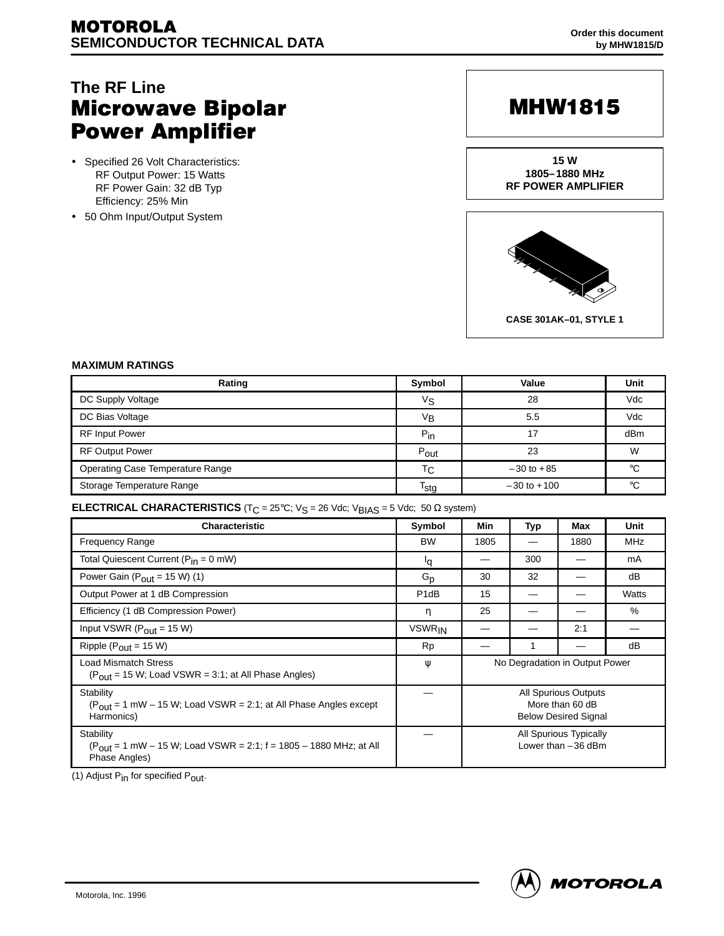## **The RF Line Microwave Bipolar Power Amplifier**

- Specified 26 Volt Characteristics: RF Output Power: 15 Watts RF Power Gain: 32 dB Typ Efficiency: 25% Min
- 50 Ohm Input/Output System

# **MHW1815**

**15 W 1805–1880 MHz RF POWER AMPLIFIER**



#### **MAXIMUM RATINGS**

| Rating                           | Symbol         | Value           | Unit |
|----------------------------------|----------------|-----------------|------|
| DC Supply Voltage                | Vs             | 28              | Vdc  |
| DC Bias Voltage                  | $V_{\text{B}}$ | 5.5             | Vdc  |
| <b>RF Input Power</b>            | $P_{in}$       | 17              | dBm  |
| <b>RF Output Power</b>           | Pout           | 23              | W    |
| Operating Case Temperature Range | Тc             | $-30$ to $+85$  | °C   |
| Storage Temperature Range        | $T_{\sf stg}$  | $-30$ to $+100$ | °C   |

#### **ELECTRICAL CHARACTERISTICS**  $(T_C = 25^{\circ}C; V_S = 26$  Vdc; V<sub>BIAS</sub> = 5 Vdc; 50  $\Omega$  system)

| <b>Characteristic</b>                                                                                                        | Symbol            | Min                                                                    | Typ | Max  | Unit       |  |
|------------------------------------------------------------------------------------------------------------------------------|-------------------|------------------------------------------------------------------------|-----|------|------------|--|
| <b>Frequency Range</b>                                                                                                       | <b>BW</b>         | 1805                                                                   |     | 1880 | <b>MHz</b> |  |
| Total Quiescent Current (P <sub>in</sub> = 0 mW)                                                                             | ١q                |                                                                        | 300 |      | mA         |  |
| Power Gain ( $P_{\text{out}}$ = 15 W) (1)                                                                                    | $G_{p}$           | 30                                                                     | 32  |      | dB         |  |
| Output Power at 1 dB Compression                                                                                             | P <sub>1</sub> dB | 15                                                                     |     |      | Watts      |  |
| Efficiency (1 dB Compression Power)                                                                                          | η                 | 25                                                                     |     |      | %          |  |
| Input VSWR ( $P_{\text{out}}$ = 15 W)                                                                                        | <b>VSWRIN</b>     |                                                                        |     | 2:1  |            |  |
| Ripple ( $P_{\text{out}}$ = 15 W)                                                                                            | <b>Rp</b>         |                                                                        |     |      | dB         |  |
| Load Mismatch Stress<br>$(P_{\text{out}} = 15 \text{ W};$ Load VSWR = 3:1; at All Phase Angles)                              | W                 | No Degradation in Output Power                                         |     |      |            |  |
| Stability<br>$(P_{\text{out}} = 1 \text{ mW} - 15 \text{ W}$ ; Load VSWR = 2:1; at All Phase Angles except<br>Harmonics)     |                   | All Spurious Outputs<br>More than 60 dB<br><b>Below Desired Signal</b> |     |      |            |  |
| Stability<br>$(P_{\text{out}} = 1 \text{ mW} - 15 \text{ W}$ ; Load VSWR = 2:1; f = 1805 - 1880 MHz; at All<br>Phase Angles) |                   | All Spurious Typically<br>Lower than $-36$ dBm                         |     |      |            |  |

(1) Adjust Pin for specified Pout.

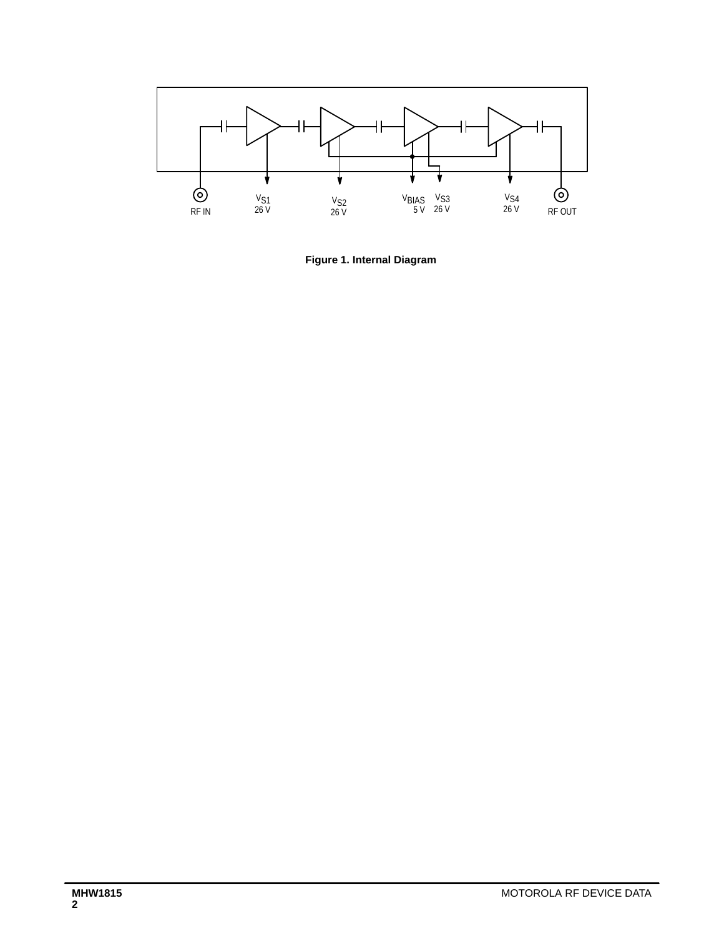

**Figure 1. Internal Diagram**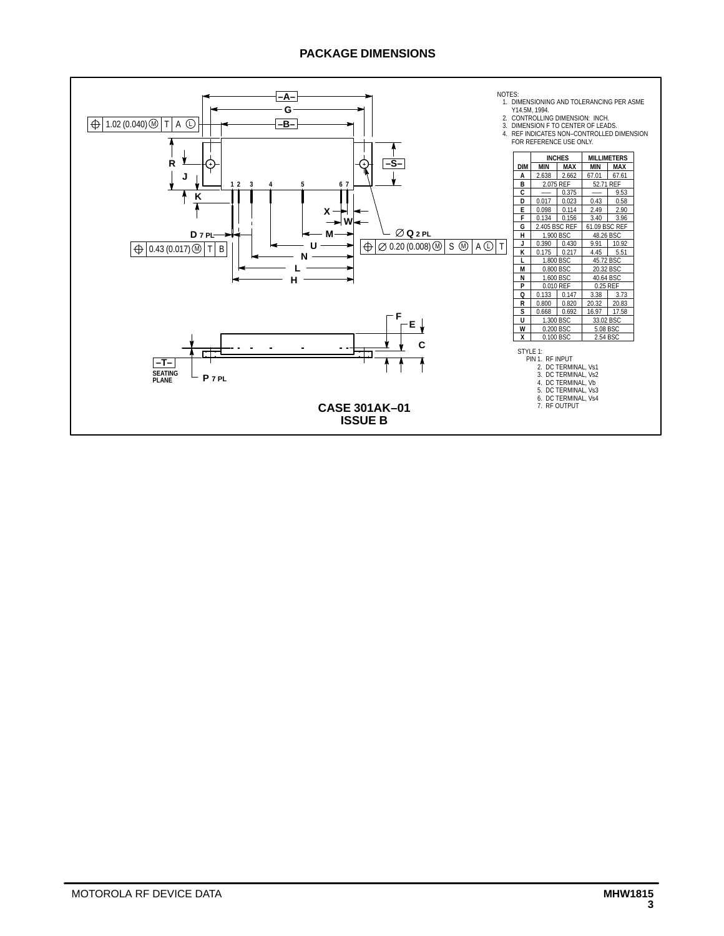### **PACKAGE DIMENSIONS**